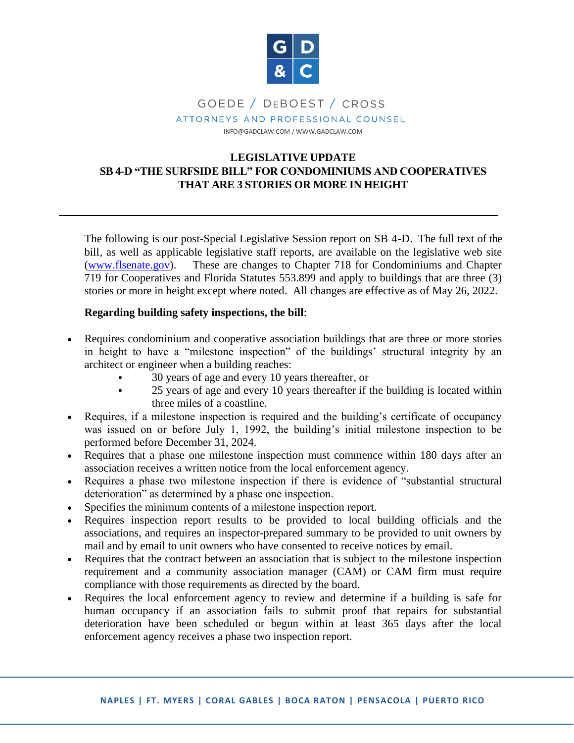

# GOEDE / DEBOEST / CROSS ATTORNEYS AND PROFESSIONAL COUNSEL

INFO@GADCLAW.COM / WWW.GADCLAW.COM

## **LEGISLATIVE UPDATE SB 4-D "THE SURFSIDE BILL" FOR CONDOMINIUMS AND COOPERATIVES THAT ARE 3 STORIES OR MORE IN HEIGHT**

The following is our post-Special Legislative Session report on SB 4-D. The full text of the bill, as well as applicable legislative staff reports, are available on the legislative web site (www.flsenate.gov). These are changes to Chapter 718 for Condominiums and Chapter 719 for Cooperatives and Florida Statutes 553.899 and apply to buildings that are three (3) stories or more in height except where noted. All changes are effective as of May 26, 2022.

#### **Regarding building safety inspections, the bill**:

- Requires condominium and cooperative association buildings that are three or more stories in height to have a "milestone inspection" of the buildings' structural integrity by an architect or engineer when a building reaches:
	- 30 years of age and every 10 years thereafter, or
	- 25 years of age and every 10 years thereafter if the building is located within three miles of a coastline.
- Requires, if a milestone inspection is required and the building's certificate of occupancy was issued on or before July 1, 1992, the building's initial milestone inspection to be performed before December 31, 2024.
- Requires that a phase one milestone inspection must commence within 180 days after an association receives a written notice from the local enforcement agency.
- Requires a phase two milestone inspection if there is evidence of "substantial structural deterioration" as determined by a phase one inspection.
- Specifies the minimum contents of a milestone inspection report.
- Requires inspection report results to be provided to local building officials and the associations, and requires an inspector-prepared summary to be provided to unit owners by mail and by email to unit owners who have consented to receive notices by email.
- Requires that the contract between an association that is subject to the milestone inspection requirement and a community association manager (CAM) or CAM firm must require compliance with those requirements as directed by the board.
- Requires the local enforcement agency to review and determine if a building is safe for human occupancy if an association fails to submit proof that repairs for substantial deterioration have been scheduled or begun within at least 365 days after the local enforcement agency receives a phase two inspection report.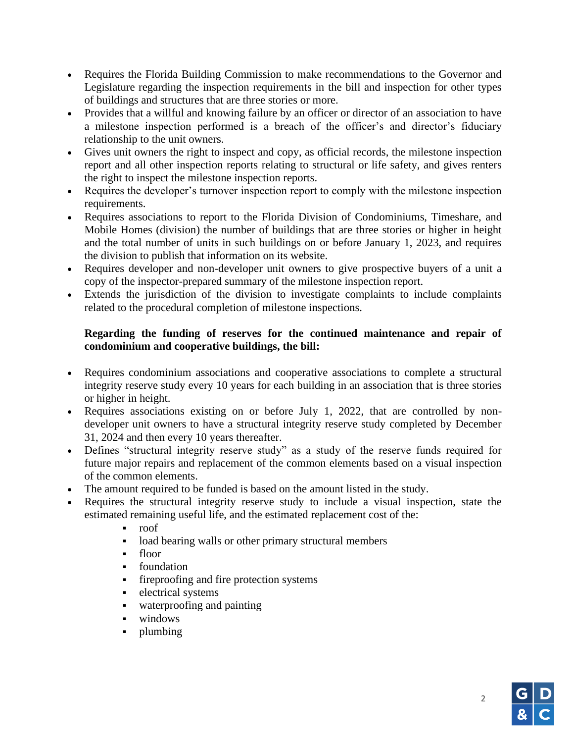- Requires the Florida Building Commission to make recommendations to the Governor and Legislature regarding the inspection requirements in the bill and inspection for other types of buildings and structures that are three stories or more.
- Provides that a willful and knowing failure by an officer or director of an association to have a milestone inspection performed is a breach of the officer's and director's fiduciary relationship to the unit owners.
- Gives unit owners the right to inspect and copy, as official records, the milestone inspection report and all other inspection reports relating to structural or life safety, and gives renters the right to inspect the milestone inspection reports.
- Requires the developer's turnover inspection report to comply with the milestone inspection requirements.
- Requires associations to report to the Florida Division of Condominiums, Timeshare, and Mobile Homes (division) the number of buildings that are three stories or higher in height and the total number of units in such buildings on or before January 1, 2023, and requires the division to publish that information on its website.
- Requires developer and non-developer unit owners to give prospective buyers of a unit a copy of the inspector-prepared summary of the milestone inspection report.
- Extends the jurisdiction of the division to investigate complaints to include complaints related to the procedural completion of milestone inspections.

## **Regarding the funding of reserves for the continued maintenance and repair of condominium and cooperative buildings, the bill:**

- Requires condominium associations and cooperative associations to complete a structural integrity reserve study every 10 years for each building in an association that is three stories or higher in height.
- Requires associations existing on or before July 1, 2022, that are controlled by nondeveloper unit owners to have a structural integrity reserve study completed by December 31, 2024 and then every 10 years thereafter.
- Defines "structural integrity reserve study" as a study of the reserve funds required for future major repairs and replacement of the common elements based on a visual inspection of the common elements.
- The amount required to be funded is based on the amount listed in the study.
- Requires the structural integrity reserve study to include a visual inspection, state the estimated remaining useful life, and the estimated replacement cost of the:
	- roof
	- load bearing walls or other primary structural members
	- floor
	- foundation
	- fireproofing and fire protection systems
	- **•** electrical systems
	- waterproofing and painting
	- windows
	- plumbing